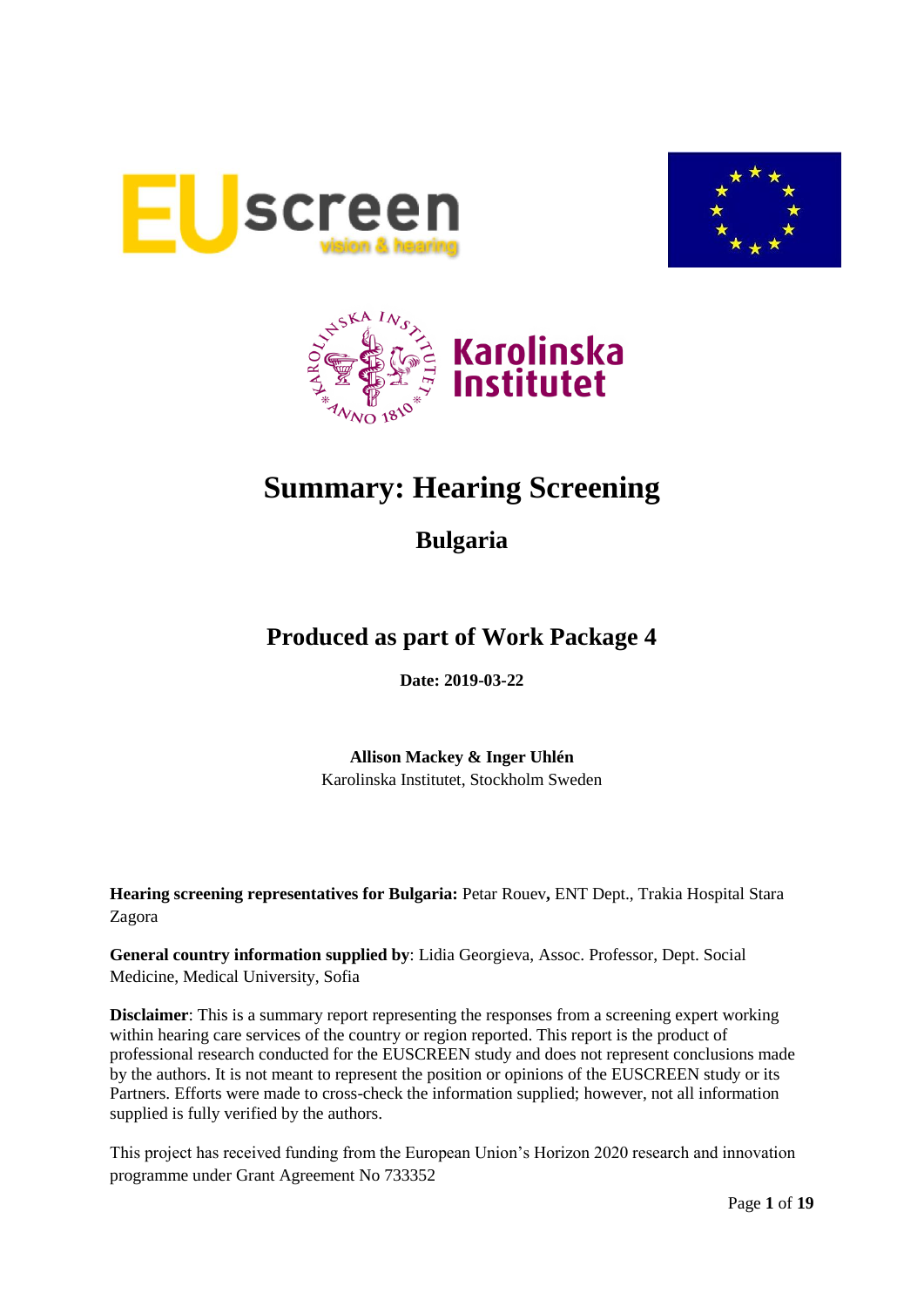





# **Summary: Hearing Screening**

**Bulgaria**

## **Produced as part of Work Package 4**

**Date: 2019-03-22**

**Allison Mackey & Inger Uhlén** Karolinska Institutet, Stockholm Sweden

**Hearing screening representatives for Bulgaria:** Petar Rouev**,** ENT Dept., Trakia Hospital Stara Zagora

**General country information supplied by**: Lidia Georgieva, Assoc. Professor, Dept. Social Medicine, Medical University, Sofia

**Disclaimer**: This is a summary report representing the responses from a screening expert working within hearing care services of the country or region reported. This report is the product of professional research conducted for the EUSCREEN study and does not represent conclusions made by the authors. It is not meant to represent the position or opinions of the EUSCREEN study or its Partners. Efforts were made to cross-check the information supplied; however, not all information supplied is fully verified by the authors.

This project has received funding from the European Union's Horizon 2020 research and innovation programme under Grant Agreement No 733352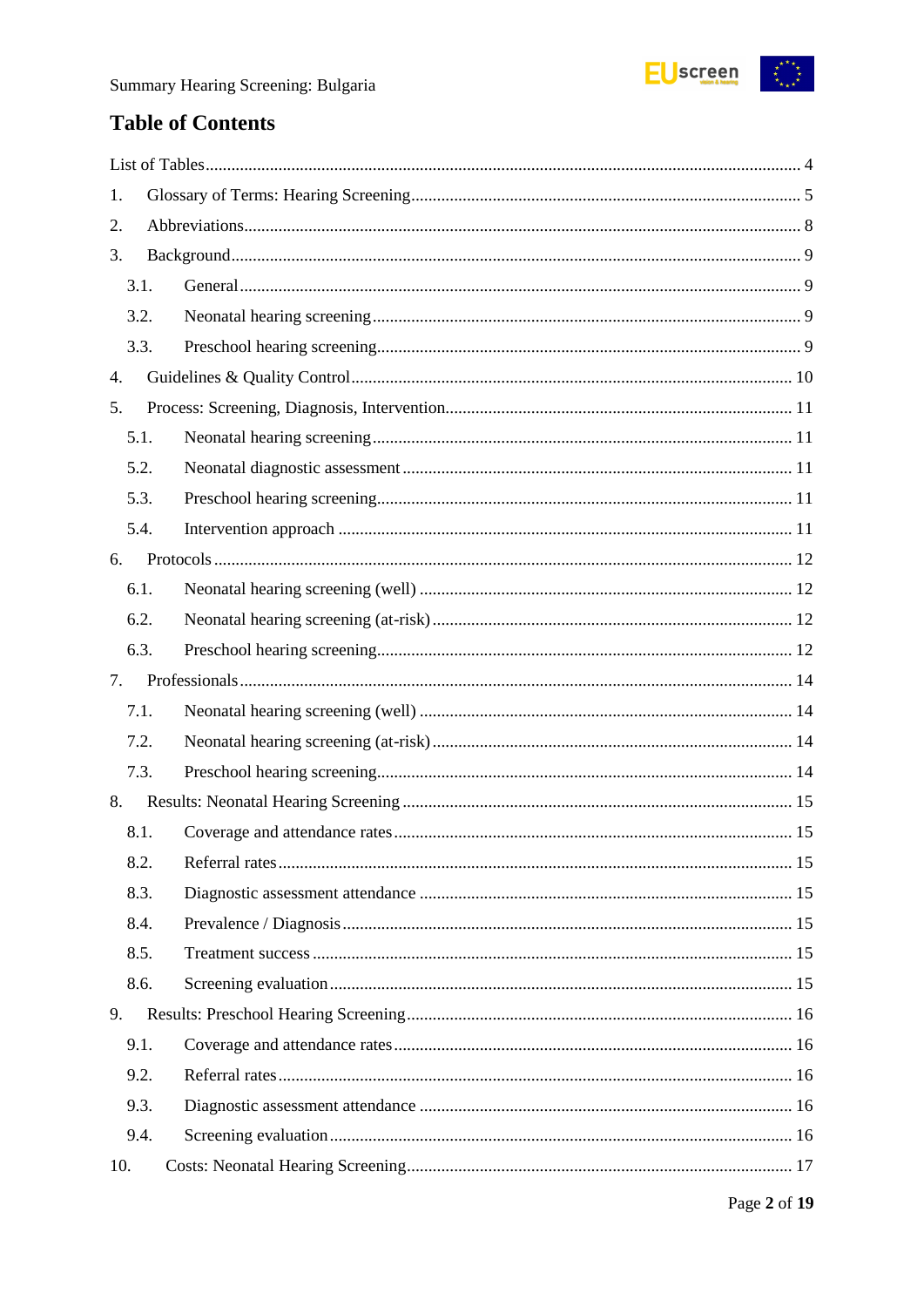

## **Table of Contents**

| 1.   |  |
|------|--|
| 2.   |  |
| 3.   |  |
| 3.1. |  |
| 3.2. |  |
| 3.3. |  |
| 4.   |  |
| 5.   |  |
| 5.1. |  |
| 5.2. |  |
| 5.3. |  |
| 5.4. |  |
| 6.   |  |
| 6.1. |  |
| 6.2. |  |
| 6.3. |  |
| 7.   |  |
| 7.1. |  |
| 7.2. |  |
| 7.3. |  |
| 8.   |  |
| 8.1. |  |
| 8.2. |  |
| 8.3. |  |
| 8.4. |  |
| 8.5. |  |
| 8.6. |  |
| 9.   |  |
| 9.1. |  |
| 9.2. |  |
| 9.3. |  |
| 9.4. |  |
| 10.  |  |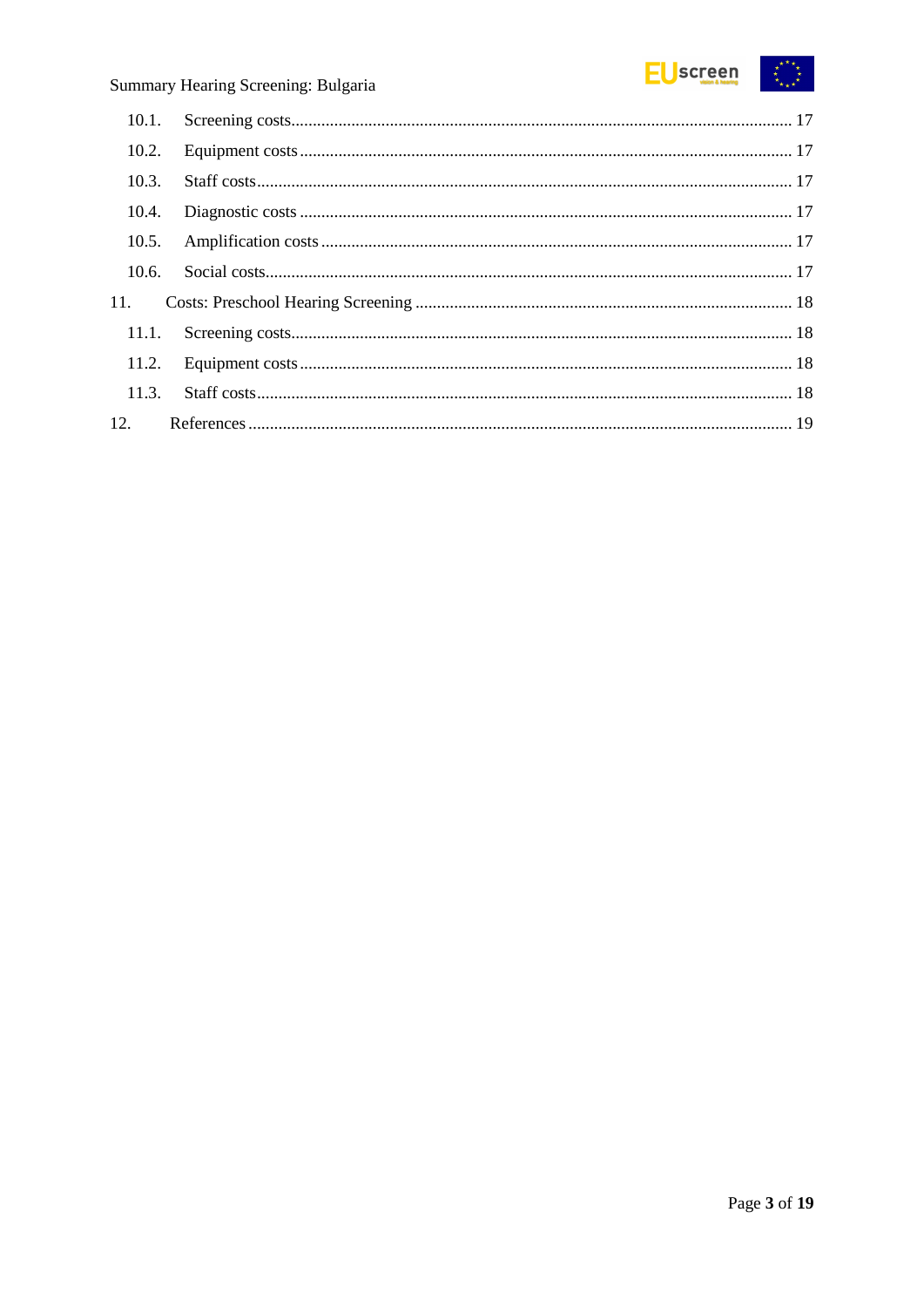

| 10.1. |  |
|-------|--|
| 10.2. |  |
| 10.3. |  |
| 10.4. |  |
| 10.5. |  |
| 10.6. |  |
| 11.   |  |
| 11.1. |  |
|       |  |
|       |  |
|       |  |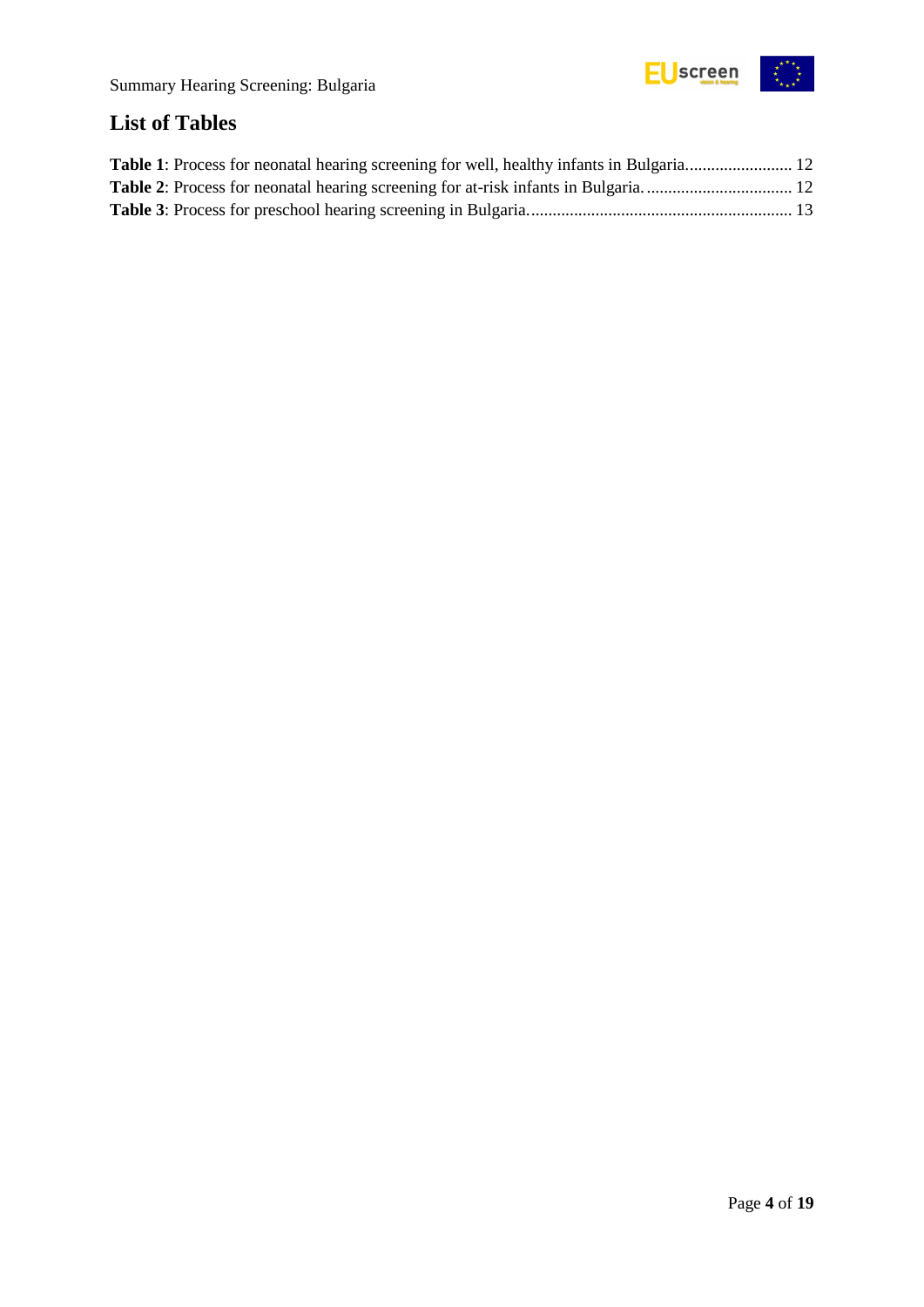

## <span id="page-3-0"></span>**List of Tables**

| Table 1: Process for neonatal hearing screening for well, healthy infants in Bulgaria 12 |  |
|------------------------------------------------------------------------------------------|--|
|                                                                                          |  |
|                                                                                          |  |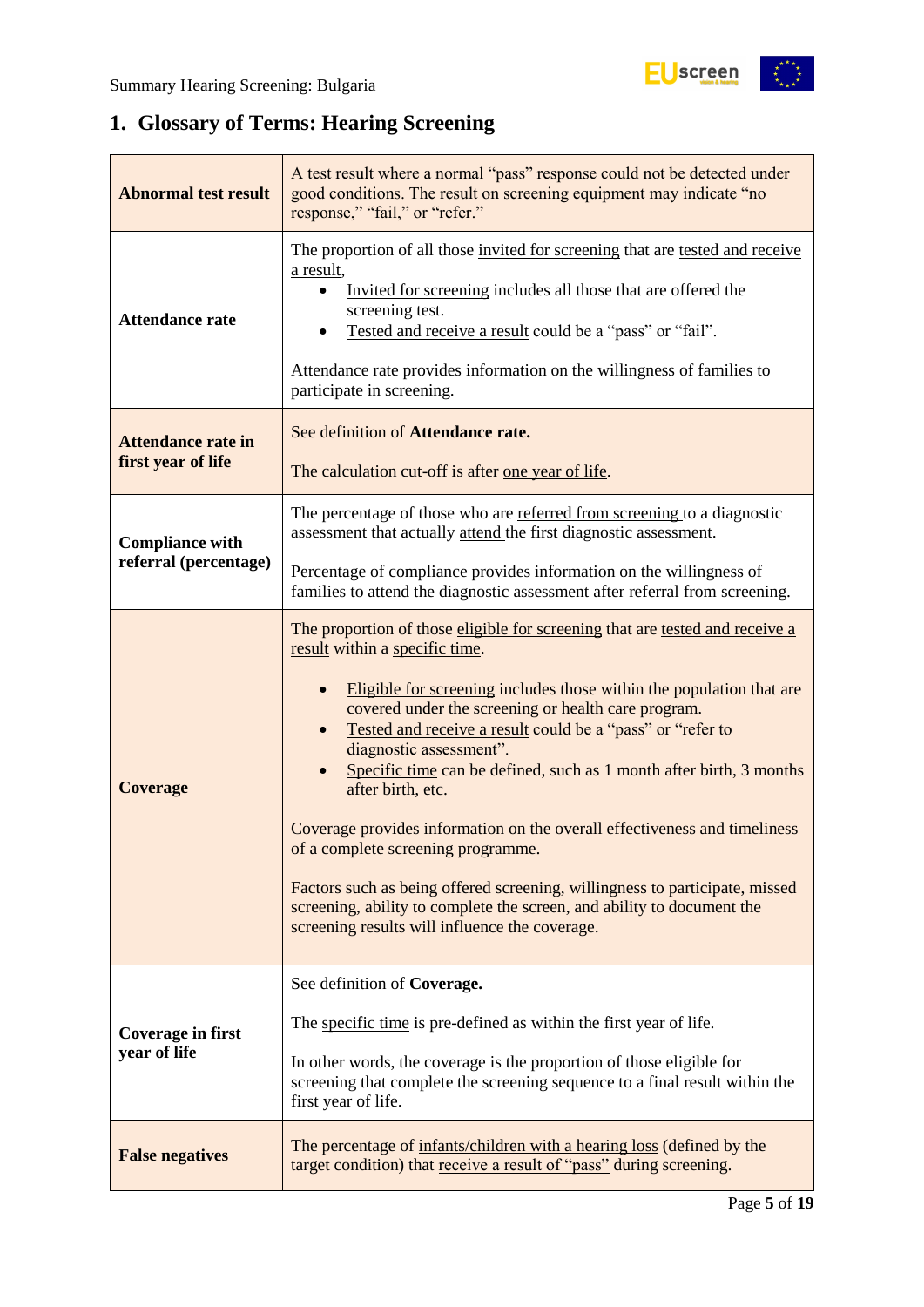## <span id="page-4-0"></span>**1. Glossary of Terms: Hearing Screening**

| <b>Abnormal test result</b>                     | A test result where a normal "pass" response could not be detected under<br>good conditions. The result on screening equipment may indicate "no<br>response," "fail," or "refer."                                                                                                                                                                                                                                                                                                                                                                                                                                                                                                                                                                                |  |  |  |
|-------------------------------------------------|------------------------------------------------------------------------------------------------------------------------------------------------------------------------------------------------------------------------------------------------------------------------------------------------------------------------------------------------------------------------------------------------------------------------------------------------------------------------------------------------------------------------------------------------------------------------------------------------------------------------------------------------------------------------------------------------------------------------------------------------------------------|--|--|--|
| <b>Attendance rate</b>                          | The proportion of all those invited for screening that are tested and receive<br>a result,<br>Invited for screening includes all those that are offered the<br>screening test.<br>Tested and receive a result could be a "pass" or "fail".<br>Attendance rate provides information on the willingness of families to<br>participate in screening.                                                                                                                                                                                                                                                                                                                                                                                                                |  |  |  |
| <b>Attendance rate in</b><br>first year of life | See definition of Attendance rate.<br>The calculation cut-off is after one year of life.                                                                                                                                                                                                                                                                                                                                                                                                                                                                                                                                                                                                                                                                         |  |  |  |
| <b>Compliance with</b>                          | The percentage of those who are referred from screening to a diagnostic<br>assessment that actually attend the first diagnostic assessment.                                                                                                                                                                                                                                                                                                                                                                                                                                                                                                                                                                                                                      |  |  |  |
| referral (percentage)                           | Percentage of compliance provides information on the willingness of<br>families to attend the diagnostic assessment after referral from screening.                                                                                                                                                                                                                                                                                                                                                                                                                                                                                                                                                                                                               |  |  |  |
| <b>Coverage</b>                                 | The proportion of those eligible for screening that are tested and receive a<br>result within a specific time.<br>Eligible for screening includes those within the population that are<br>covered under the screening or health care program.<br>Tested and receive a result could be a "pass" or "refer to<br>diagnostic assessment".<br>Specific time can be defined, such as 1 month after birth, 3 months<br>after birth, etc.<br>Coverage provides information on the overall effectiveness and timeliness<br>of a complete screening programme.<br>Factors such as being offered screening, willingness to participate, missed<br>screening, ability to complete the screen, and ability to document the<br>screening results will influence the coverage. |  |  |  |
| Coverage in first<br>year of life               | See definition of Coverage.<br>The specific time is pre-defined as within the first year of life.<br>In other words, the coverage is the proportion of those eligible for<br>screening that complete the screening sequence to a final result within the<br>first year of life.                                                                                                                                                                                                                                                                                                                                                                                                                                                                                  |  |  |  |
| <b>False negatives</b>                          | The percentage of infants/children with a hearing loss (defined by the<br>target condition) that receive a result of "pass" during screening.                                                                                                                                                                                                                                                                                                                                                                                                                                                                                                                                                                                                                    |  |  |  |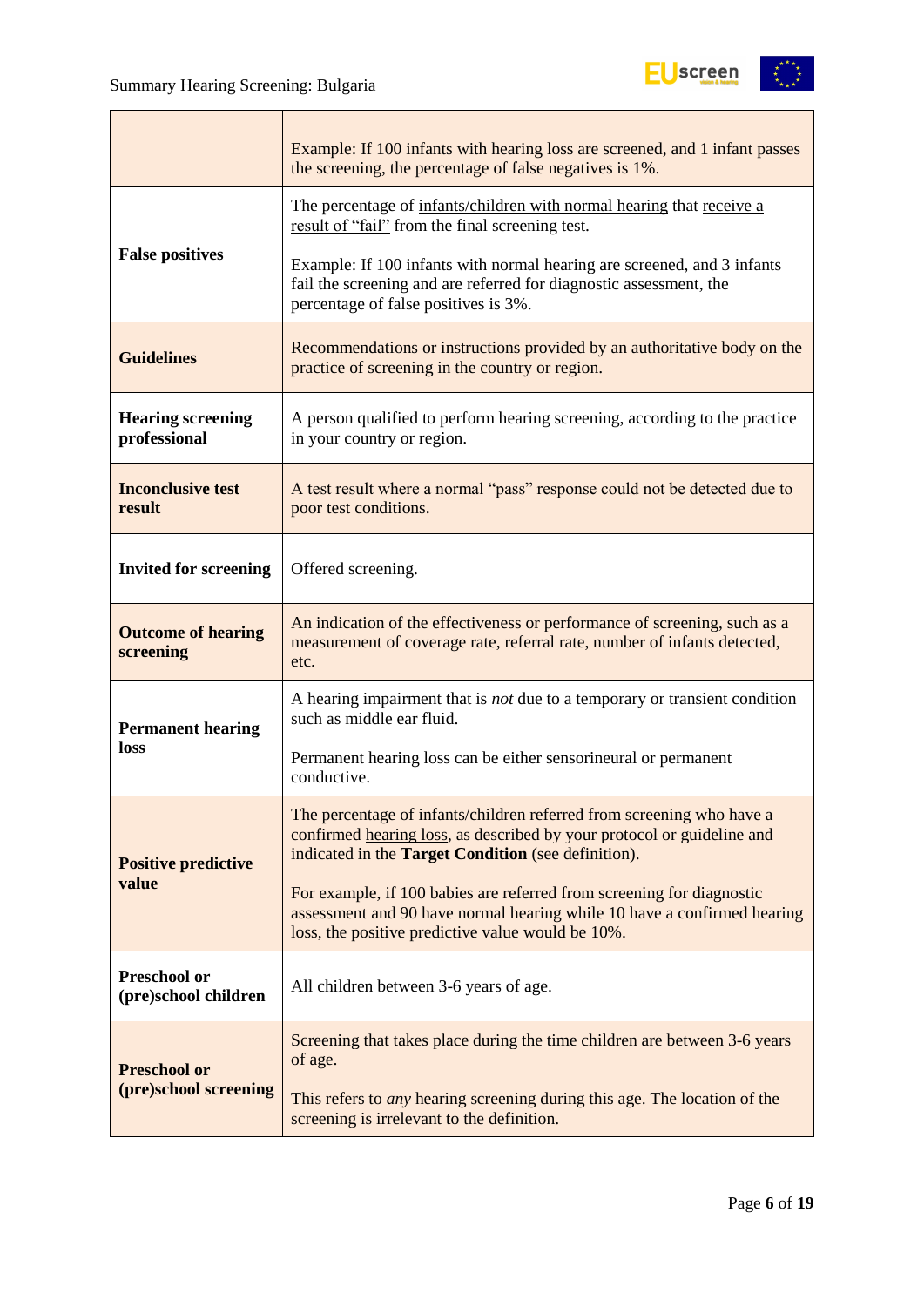

|                                             | Example: If 100 infants with hearing loss are screened, and 1 infant passes<br>the screening, the percentage of false negatives is 1%.                                                                 |  |  |  |
|---------------------------------------------|--------------------------------------------------------------------------------------------------------------------------------------------------------------------------------------------------------|--|--|--|
|                                             | The percentage of infants/children with normal hearing that receive a<br>result of "fail" from the final screening test.                                                                               |  |  |  |
| <b>False positives</b>                      | Example: If 100 infants with normal hearing are screened, and 3 infants<br>fail the screening and are referred for diagnostic assessment, the<br>percentage of false positives is 3%.                  |  |  |  |
| <b>Guidelines</b>                           | Recommendations or instructions provided by an authoritative body on the<br>practice of screening in the country or region.                                                                            |  |  |  |
| <b>Hearing screening</b><br>professional    | A person qualified to perform hearing screening, according to the practice<br>in your country or region.                                                                                               |  |  |  |
| <b>Inconclusive test</b><br>result          | A test result where a normal "pass" response could not be detected due to<br>poor test conditions.                                                                                                     |  |  |  |
| <b>Invited for screening</b>                | Offered screening.                                                                                                                                                                                     |  |  |  |
| <b>Outcome of hearing</b><br>screening      | An indication of the effectiveness or performance of screening, such as a<br>measurement of coverage rate, referral rate, number of infants detected,<br>etc.                                          |  |  |  |
| <b>Permanent hearing</b>                    | A hearing impairment that is not due to a temporary or transient condition<br>such as middle ear fluid.                                                                                                |  |  |  |
| loss                                        | Permanent hearing loss can be either sensorineural or permanent<br>conductive.                                                                                                                         |  |  |  |
| <b>Positive predictive</b>                  | The percentage of infants/children referred from screening who have a<br>confirmed hearing loss, as described by your protocol or guideline and<br>indicated in the Target Condition (see definition). |  |  |  |
| value                                       | For example, if 100 babies are referred from screening for diagnostic<br>assessment and 90 have normal hearing while 10 have a confirmed hearing<br>loss, the positive predictive value would be 10%.  |  |  |  |
| <b>Preschool or</b><br>(pre)school children | All children between 3-6 years of age.                                                                                                                                                                 |  |  |  |
| <b>Preschool or</b>                         | Screening that takes place during the time children are between 3-6 years<br>of age.                                                                                                                   |  |  |  |
| (pre)school screening                       | This refers to <i>any</i> hearing screening during this age. The location of the<br>screening is irrelevant to the definition.                                                                         |  |  |  |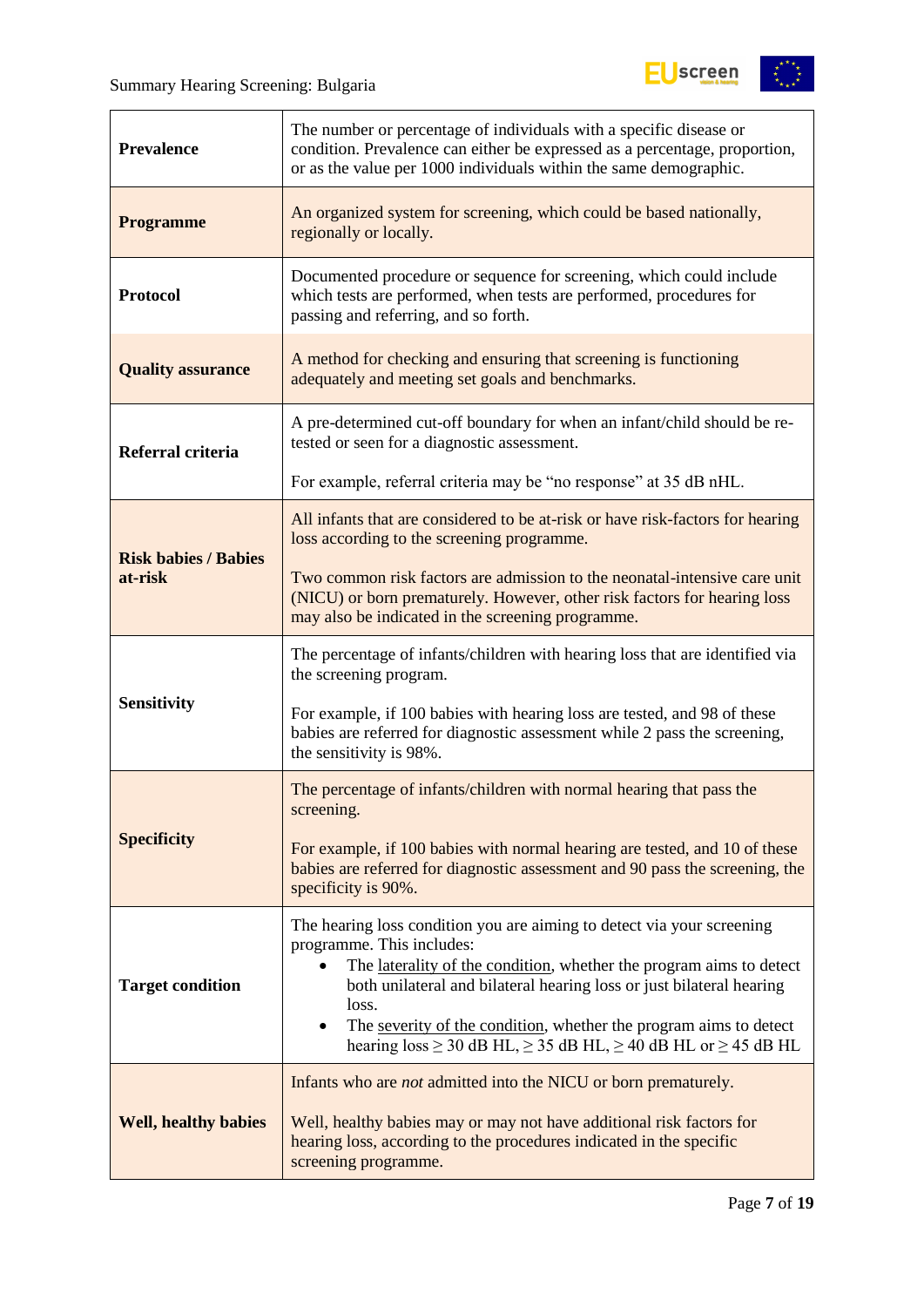

٦

| <b>Prevalence</b>           | The number or percentage of individuals with a specific disease or<br>condition. Prevalence can either be expressed as a percentage, proportion,<br>or as the value per 1000 individuals within the same demographic.                        |  |  |  |
|-----------------------------|----------------------------------------------------------------------------------------------------------------------------------------------------------------------------------------------------------------------------------------------|--|--|--|
| <b>Programme</b>            | An organized system for screening, which could be based nationally,<br>regionally or locally.                                                                                                                                                |  |  |  |
| <b>Protocol</b>             | Documented procedure or sequence for screening, which could include<br>which tests are performed, when tests are performed, procedures for<br>passing and referring, and so forth.                                                           |  |  |  |
| <b>Quality assurance</b>    | A method for checking and ensuring that screening is functioning<br>adequately and meeting set goals and benchmarks.                                                                                                                         |  |  |  |
| Referral criteria           | A pre-determined cut-off boundary for when an infant/child should be re-<br>tested or seen for a diagnostic assessment.                                                                                                                      |  |  |  |
|                             | For example, referral criteria may be "no response" at 35 dB nHL.                                                                                                                                                                            |  |  |  |
| <b>Risk babies / Babies</b> | All infants that are considered to be at-risk or have risk-factors for hearing<br>loss according to the screening programme.                                                                                                                 |  |  |  |
| at-risk                     | Two common risk factors are admission to the neonatal-intensive care unit<br>(NICU) or born prematurely. However, other risk factors for hearing loss<br>may also be indicated in the screening programme.                                   |  |  |  |
|                             | The percentage of infants/children with hearing loss that are identified via<br>the screening program.                                                                                                                                       |  |  |  |
| <b>Sensitivity</b>          | For example, if 100 babies with hearing loss are tested, and 98 of these<br>babies are referred for diagnostic assessment while 2 pass the screening,<br>the sensitivity is 98%.                                                             |  |  |  |
|                             | The percentage of infants/children with normal hearing that pass the<br>screening.                                                                                                                                                           |  |  |  |
| <b>Specificity</b>          | For example, if 100 babies with normal hearing are tested, and 10 of these<br>babies are referred for diagnostic assessment and 90 pass the screening, the<br>specificity is 90%.                                                            |  |  |  |
|                             | The hearing loss condition you are aiming to detect via your screening<br>programme. This includes:<br>The laterality of the condition, whether the program aims to detect<br>$\bullet$                                                      |  |  |  |
| <b>Target condition</b>     | both unilateral and bilateral hearing loss or just bilateral hearing<br>loss.<br>The severity of the condition, whether the program aims to detect<br>٠<br>hearing loss $\geq$ 30 dB HL, $\geq$ 35 dB HL, $\geq$ 40 dB HL or $\geq$ 45 dB HL |  |  |  |
|                             | Infants who are <i>not</i> admitted into the NICU or born prematurely.                                                                                                                                                                       |  |  |  |
| <b>Well, healthy babies</b> | Well, healthy babies may or may not have additional risk factors for<br>hearing loss, according to the procedures indicated in the specific<br>screening programme.                                                                          |  |  |  |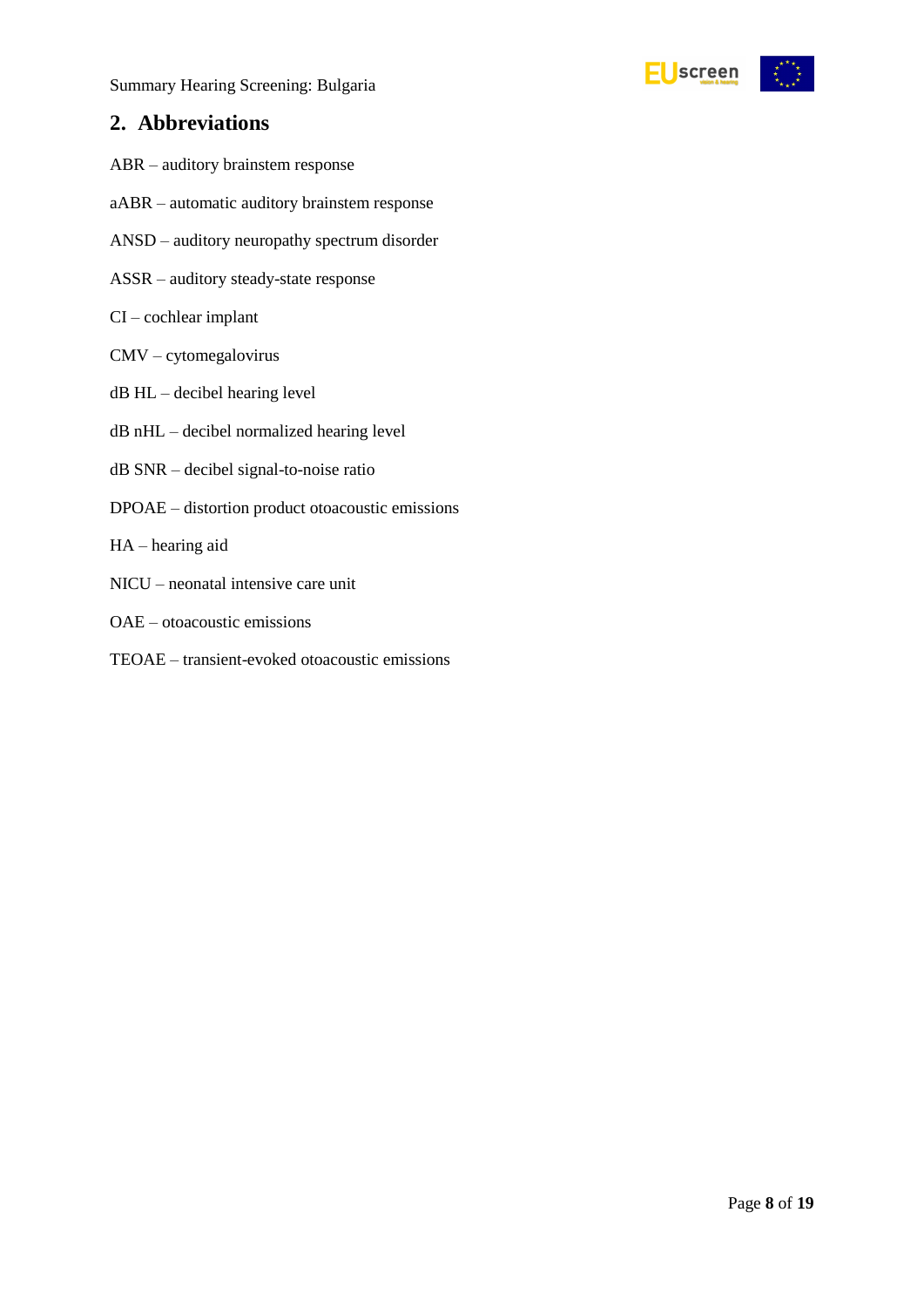

### <span id="page-7-0"></span>**2. Abbreviations**

- ABR auditory brainstem response
- aABR automatic auditory brainstem response
- ANSD auditory neuropathy spectrum disorder
- ASSR auditory steady-state response
- CI cochlear implant
- CMV cytomegalovirus
- dB HL decibel hearing level
- dB nHL decibel normalized hearing level
- dB SNR decibel signal-to-noise ratio
- DPOAE distortion product otoacoustic emissions
- HA hearing aid
- NICU neonatal intensive care unit
- OAE otoacoustic emissions
- TEOAE transient-evoked otoacoustic emissions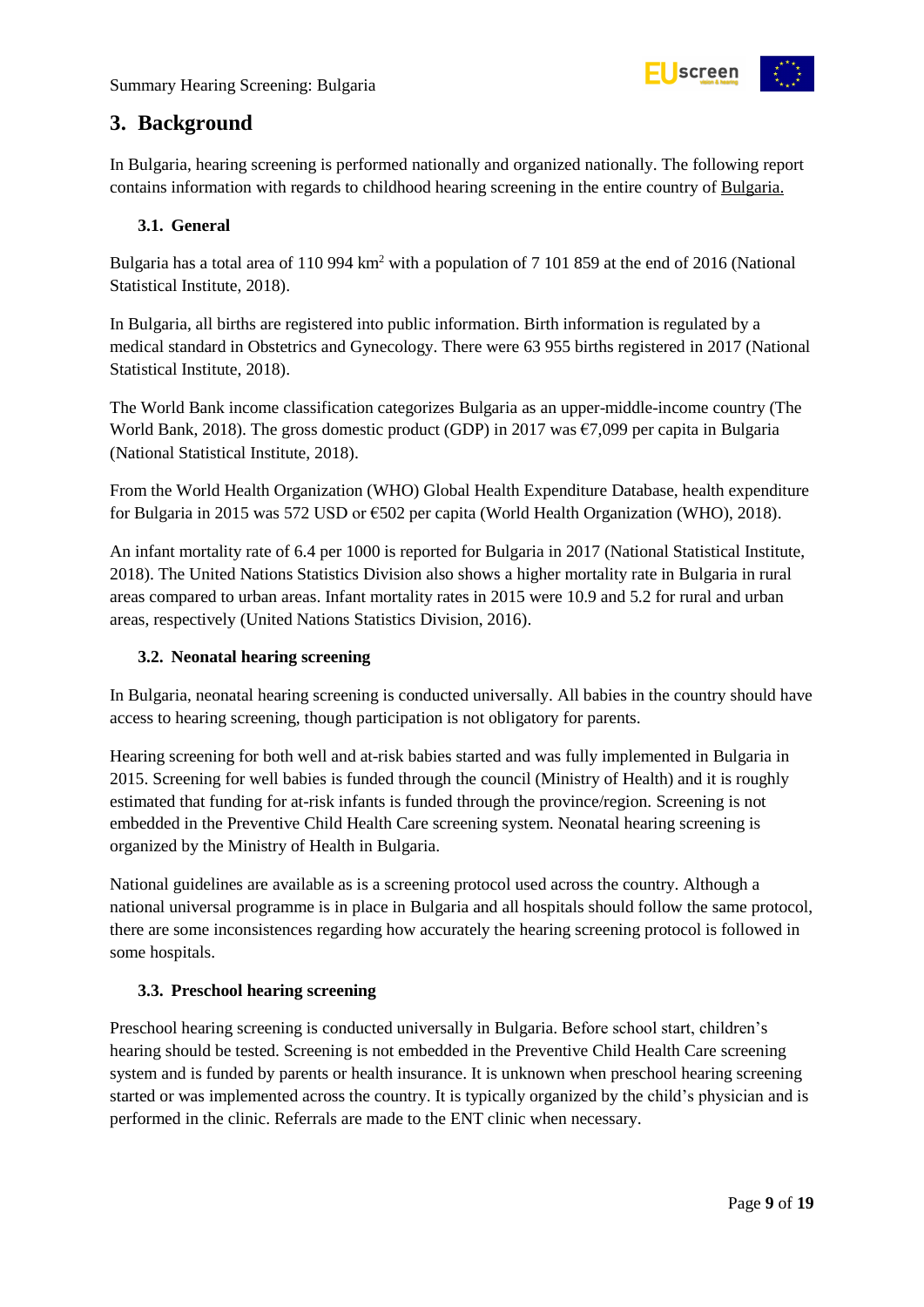

### <span id="page-8-0"></span>**3. Background**

In Bulgaria, hearing screening is performed nationally and organized nationally. The following report contains information with regards to childhood hearing screening in the entire country of Bulgaria.

#### <span id="page-8-1"></span>**3.1. General**

Bulgaria has a total area of 110 994 km<sup>2</sup> with a population of 7 101 859 at the end of 2016 (National Statistical Institute, 2018).

In Bulgaria, all births are registered into public information. Birth information is regulated by a medical standard in Obstetrics and Gynecology. There were 63 955 births registered in 2017 (National Statistical Institute, 2018).

The World Bank income classification categorizes Bulgaria as an upper-middle-income country (The World Bank, 2018). The gross domestic product (GDP) in 2017 was  $\epsilon$ 7,099 per capita in Bulgaria (National Statistical Institute, 2018).

From the World Health Organization (WHO) Global Health Expenditure Database, health expenditure for Bulgaria in 2015 was 572 USD or €502 per capita (World Health Organization (WHO), 2018).

An infant mortality rate of 6.4 per 1000 is reported for Bulgaria in 2017 (National Statistical Institute, 2018). The United Nations Statistics Division also shows a higher mortality rate in Bulgaria in rural areas compared to urban areas. Infant mortality rates in 2015 were 10.9 and 5.2 for rural and urban areas, respectively (United Nations Statistics Division, 2016).

#### <span id="page-8-2"></span>**3.2. Neonatal hearing screening**

In Bulgaria, neonatal hearing screening is conducted universally. All babies in the country should have access to hearing screening, though participation is not obligatory for parents.

Hearing screening for both well and at-risk babies started and was fully implemented in Bulgaria in 2015. Screening for well babies is funded through the council (Ministry of Health) and it is roughly estimated that funding for at-risk infants is funded through the province/region. Screening is not embedded in the Preventive Child Health Care screening system. Neonatal hearing screening is organized by the Ministry of Health in Bulgaria.

National guidelines are available as is a screening protocol used across the country. Although a national universal programme is in place in Bulgaria and all hospitals should follow the same protocol, there are some inconsistences regarding how accurately the hearing screening protocol is followed in some hospitals.

#### <span id="page-8-3"></span>**3.3. Preschool hearing screening**

Preschool hearing screening is conducted universally in Bulgaria. Before school start, children's hearing should be tested. Screening is not embedded in the Preventive Child Health Care screening system and is funded by parents or health insurance. It is unknown when preschool hearing screening started or was implemented across the country. It is typically organized by the child's physician and is performed in the clinic. Referrals are made to the ENT clinic when necessary.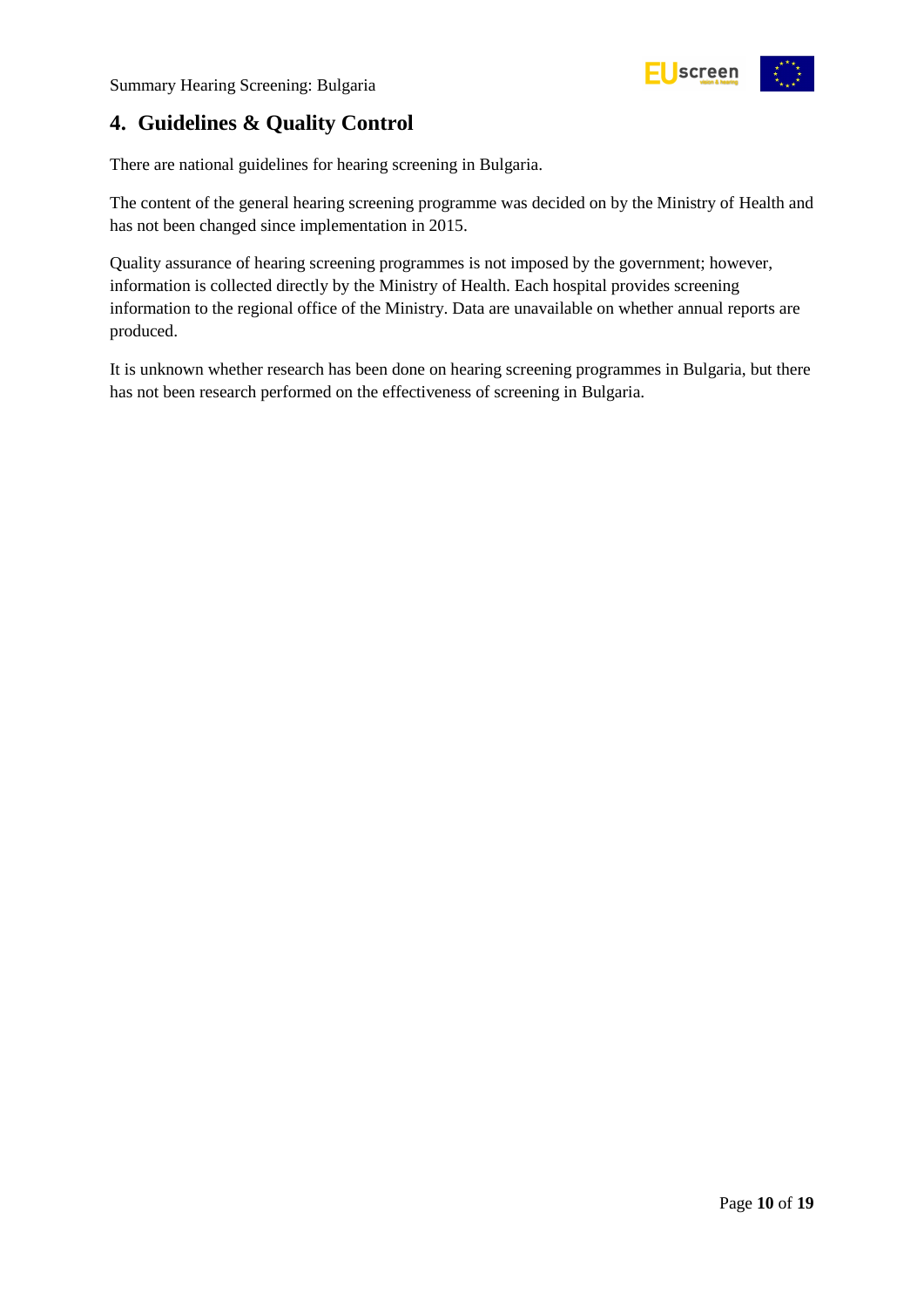

### <span id="page-9-0"></span>**4. Guidelines & Quality Control**

There are national guidelines for hearing screening in Bulgaria.

The content of the general hearing screening programme was decided on by the Ministry of Health and has not been changed since implementation in 2015.

Quality assurance of hearing screening programmes is not imposed by the government; however, information is collected directly by the Ministry of Health. Each hospital provides screening information to the regional office of the Ministry. Data are unavailable on whether annual reports are produced.

It is unknown whether research has been done on hearing screening programmes in Bulgaria, but there has not been research performed on the effectiveness of screening in Bulgaria.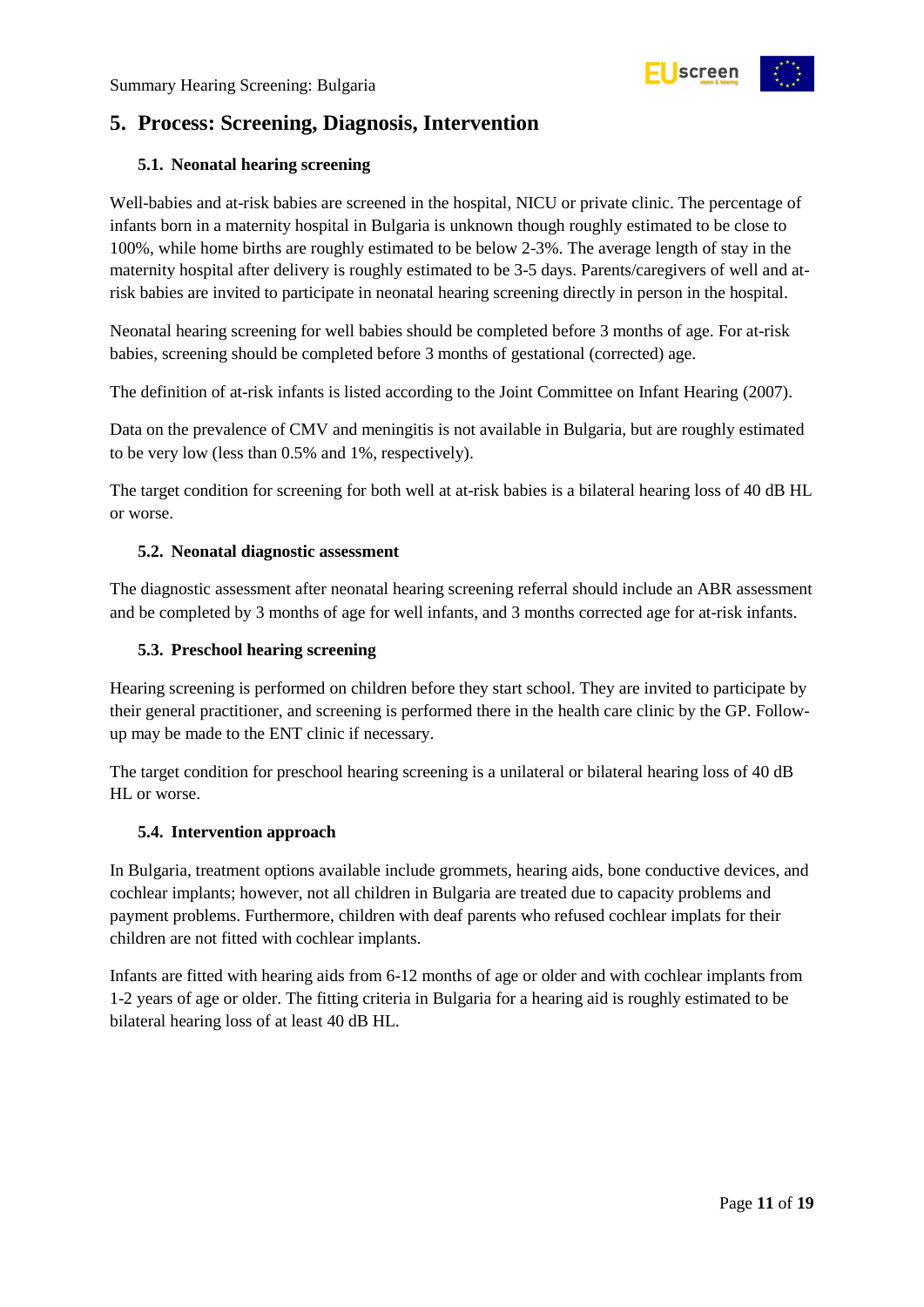

### <span id="page-10-0"></span>**5. Process: Screening, Diagnosis, Intervention**

#### <span id="page-10-1"></span>**5.1. Neonatal hearing screening**

Well-babies and at-risk babies are screened in the hospital, NICU or private clinic. The percentage of infants born in a maternity hospital in Bulgaria is unknown though roughly estimated to be close to 100%, while home births are roughly estimated to be below 2-3%. The average length of stay in the maternity hospital after delivery is roughly estimated to be 3-5 days. Parents/caregivers of well and atrisk babies are invited to participate in neonatal hearing screening directly in person in the hospital.

Neonatal hearing screening for well babies should be completed before 3 months of age. For at-risk babies, screening should be completed before 3 months of gestational (corrected) age.

The definition of at-risk infants is listed according to the Joint Committee on Infant Hearing (2007).

Data on the prevalence of CMV and meningitis is not available in Bulgaria, but are roughly estimated to be very low (less than 0.5% and 1%, respectively).

The target condition for screening for both well at at-risk babies is a bilateral hearing loss of 40 dB HL or worse.

#### <span id="page-10-2"></span>**5.2. Neonatal diagnostic assessment**

The diagnostic assessment after neonatal hearing screening referral should include an ABR assessment and be completed by 3 months of age for well infants, and 3 months corrected age for at-risk infants.

#### <span id="page-10-3"></span>**5.3. Preschool hearing screening**

Hearing screening is performed on children before they start school. They are invited to participate by their general practitioner, and screening is performed there in the health care clinic by the GP. Followup may be made to the ENT clinic if necessary.

The target condition for preschool hearing screening is a unilateral or bilateral hearing loss of 40 dB HL or worse.

#### <span id="page-10-4"></span>**5.4. Intervention approach**

In Bulgaria, treatment options available include grommets, hearing aids, bone conductive devices, and cochlear implants; however, not all children in Bulgaria are treated due to capacity problems and payment problems. Furthermore, children with deaf parents who refused cochlear implats for their children are not fitted with cochlear implants.

Infants are fitted with hearing aids from 6-12 months of age or older and with cochlear implants from 1-2 years of age or older. The fitting criteria in Bulgaria for a hearing aid is roughly estimated to be bilateral hearing loss of at least 40 dB HL.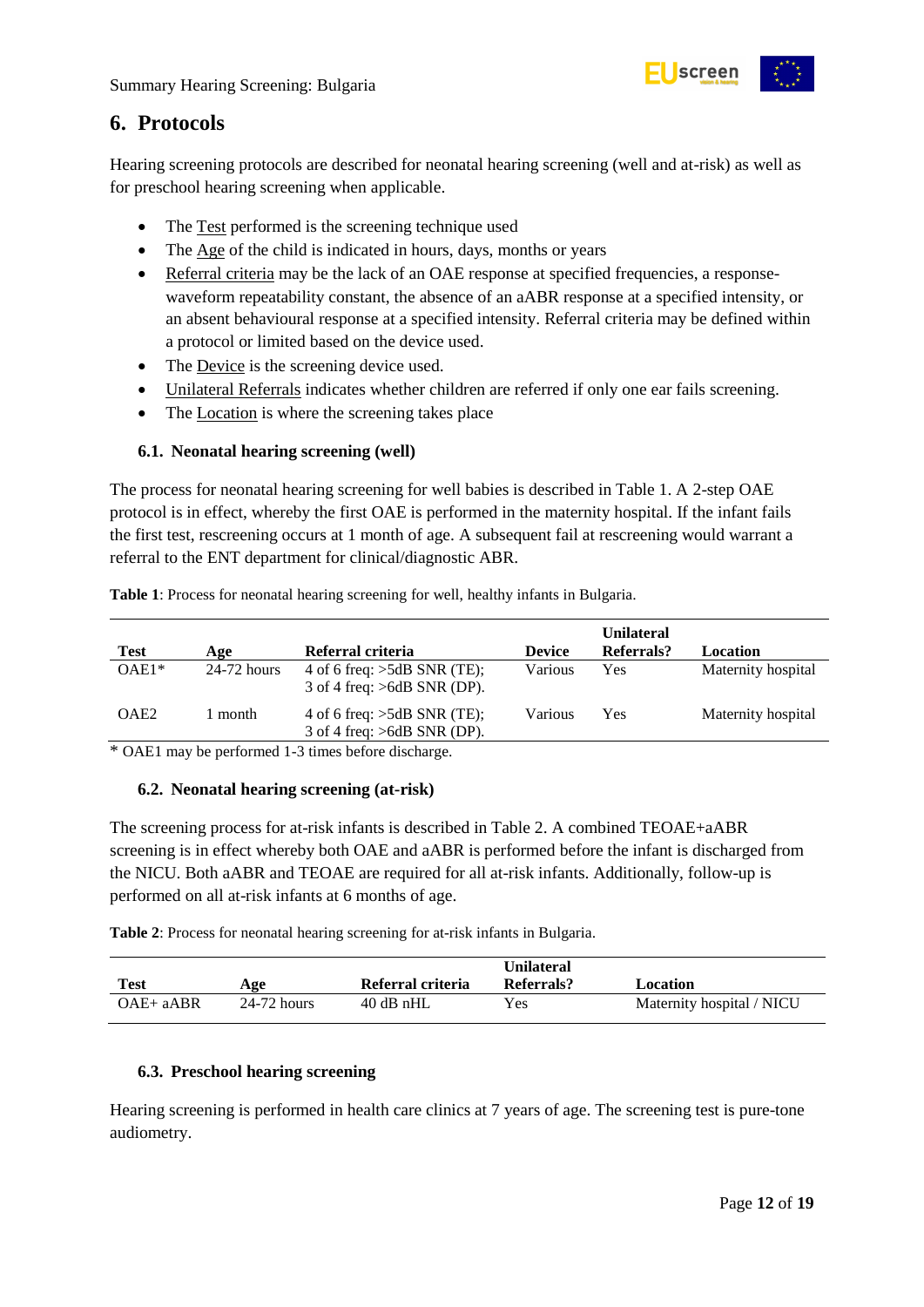

### <span id="page-11-0"></span>**6. Protocols**

Hearing screening protocols are described for neonatal hearing screening (well and at-risk) as well as for preschool hearing screening when applicable.

- The Test performed is the screening technique used
- The Age of the child is indicated in hours, days, months or years
- Referral criteria may be the lack of an OAE response at specified frequencies, a responsewaveform repeatability constant, the absence of an aABR response at a specified intensity, or an absent behavioural response at a specified intensity. Referral criteria may be defined within a protocol or limited based on the device used.
- The Device is the screening device used.
- Unilateral Referrals indicates whether children are referred if only one ear fails screening.
- The Location is where the screening takes place

#### <span id="page-11-1"></span>**6.1. Neonatal hearing screening (well)**

The process for neonatal hearing screening for well babies is described in Table 1. A 2-step OAE protocol is in effect, whereby the first OAE is performed in the maternity hospital. If the infant fails the first test, rescreening occurs at 1 month of age. A subsequent fail at rescreening would warrant a referral to the ENT department for clinical/diagnostic ABR.

|                  |             |                                                                |               | <b>Unilateral</b> |                    |
|------------------|-------------|----------------------------------------------------------------|---------------|-------------------|--------------------|
| <b>Test</b>      | Age         | Referral criteria                                              | <b>Device</b> | Referrals?        | Location           |
| $OAE1*$          | 24-72 hours | 4 of 6 freq: $>5dB$ SNR (TE);<br>3 of 4 freq: $>6dB$ SNR (DP). | Various       | Yes               | Maternity hospital |
| OAE <sub>2</sub> | 1 month     | 4 of 6 freq: $>5dB$ SNR (TE);<br>3 of 4 freq: $>6dB$ SNR (DP). | Various       | Yes               | Maternity hospital |
|                  |             | $*$ $\Omega$ AE1 may be performed 1.3 times before discharge   |               |                   |                    |

<span id="page-11-4"></span>**Table 1**: Process for neonatal hearing screening for well, healthy infants in Bulgaria.

OAE1 may be performed 1-3 times before discharge.

#### <span id="page-11-2"></span>**6.2. Neonatal hearing screening (at-risk)**

The screening process for at-risk infants is described in Table 2. A combined TEOAE+aABR screening is in effect whereby both OAE and aABR is performed before the infant is discharged from the NICU. Both aABR and TEOAE are required for all at-risk infants. Additionally, follow-up is performed on all at-risk infants at 6 months of age.

<span id="page-11-5"></span>**Table 2**: Process for neonatal hearing screening for at-risk infants in Bulgaria.

|            |               |                   | Unilateral |                           |
|------------|---------------|-------------------|------------|---------------------------|
| Test       | <b>Age</b>    | Referral criteria | Referrals? | Location                  |
| $OAE+aABR$ | $24-72$ hours | $40$ dB nHL       | Yes        | Maternity hospital / NICU |

#### <span id="page-11-3"></span>**6.3. Preschool hearing screening**

Hearing screening is performed in health care clinics at 7 years of age. The screening test is pure-tone audiometry.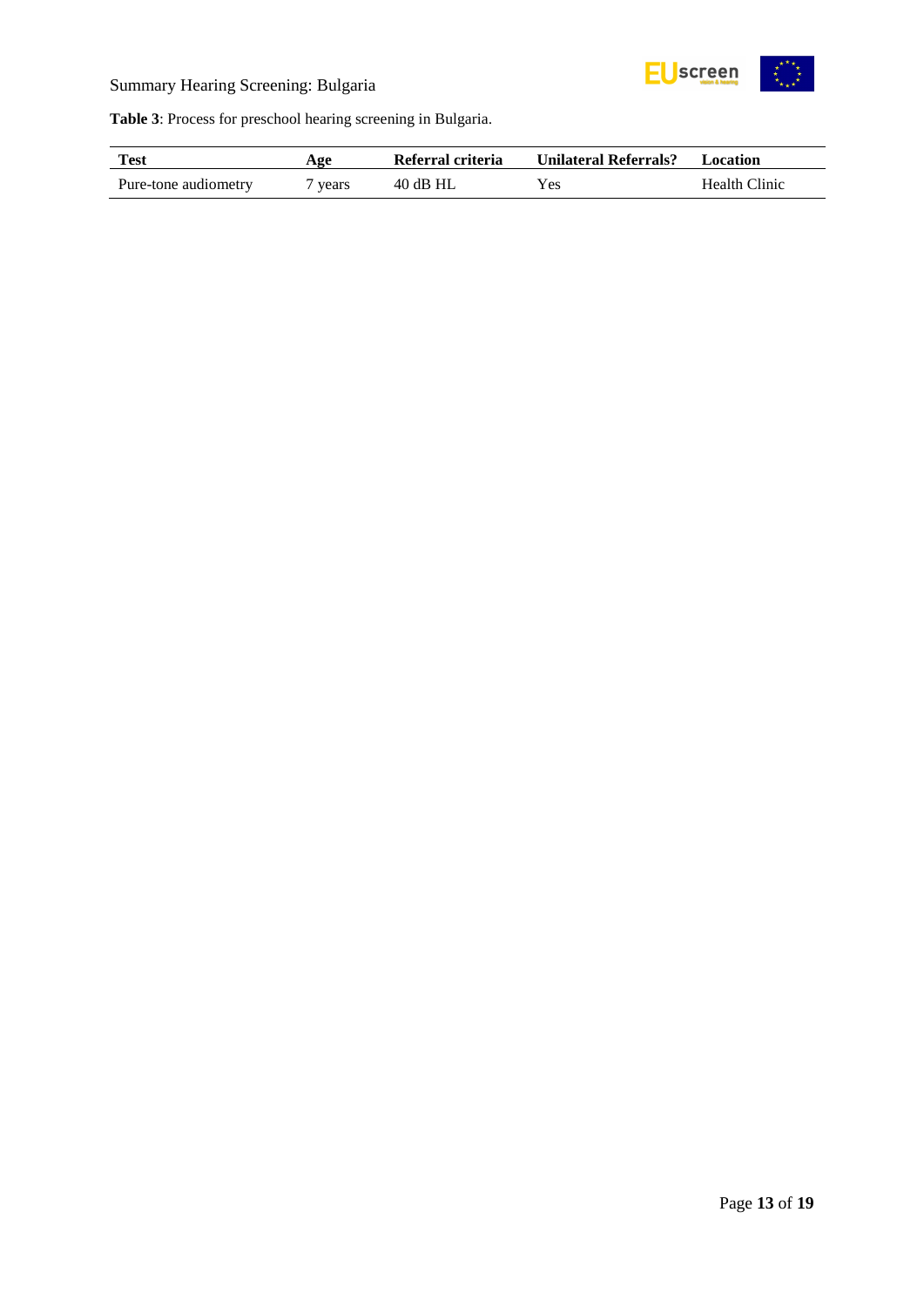

<span id="page-12-0"></span>**Table 3**: Process for preschool hearing screening in Bulgaria.

| <b>Test</b>          | Age   | Referral criteria | <b>Unilateral Referrals?</b> | Location      |
|----------------------|-------|-------------------|------------------------------|---------------|
| Pure-tone audiometry | years | $40$ dB HL        | Yes                          | Health Clinic |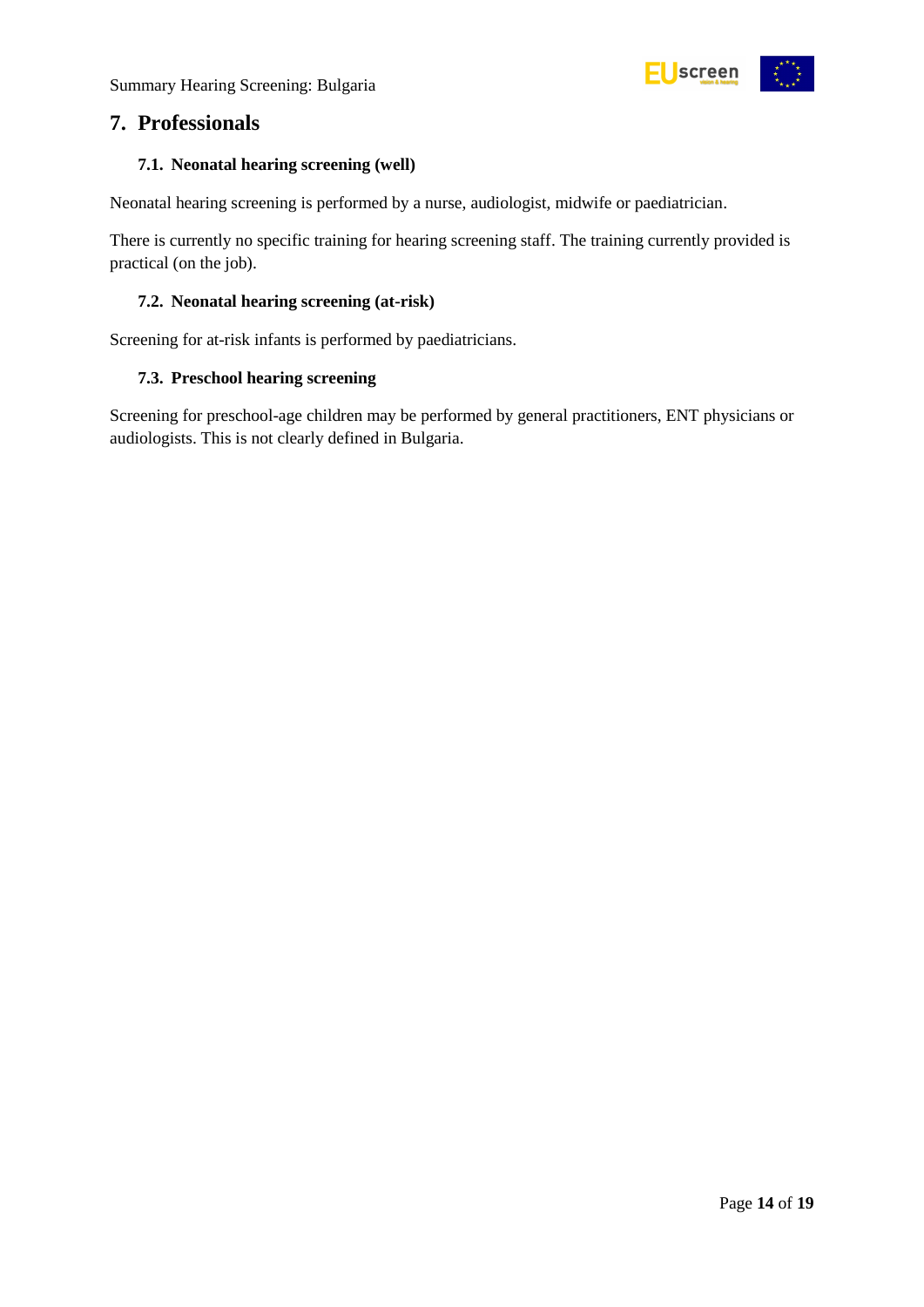

### <span id="page-13-0"></span>**7. Professionals**

#### <span id="page-13-1"></span>**7.1. Neonatal hearing screening (well)**

Neonatal hearing screening is performed by a nurse, audiologist, midwife or paediatrician.

There is currently no specific training for hearing screening staff. The training currently provided is practical (on the job).

#### <span id="page-13-2"></span>**7.2. Neonatal hearing screening (at-risk)**

Screening for at-risk infants is performed by paediatricians.

#### <span id="page-13-3"></span>**7.3. Preschool hearing screening**

Screening for preschool-age children may be performed by general practitioners, ENT physicians or audiologists. This is not clearly defined in Bulgaria.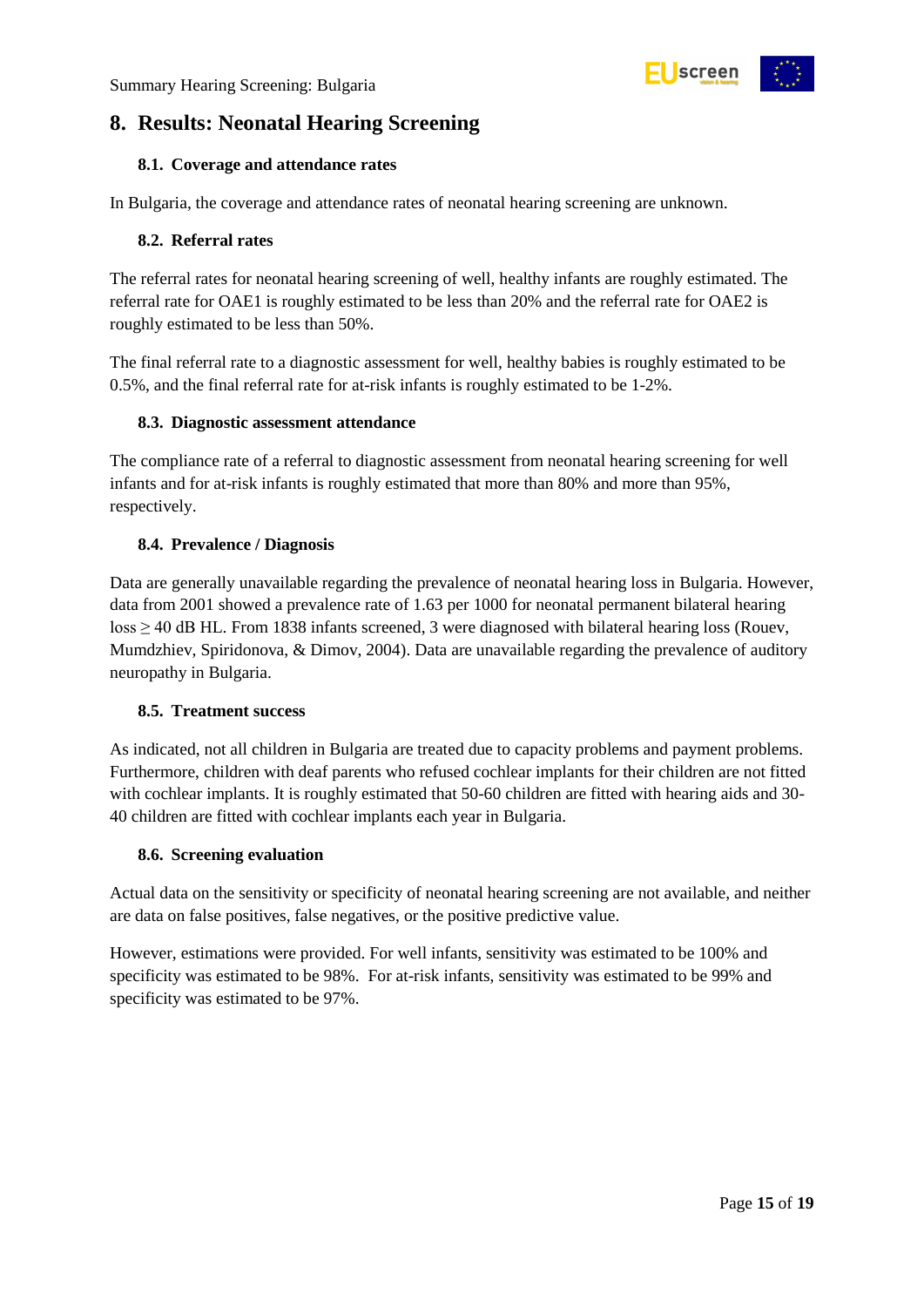

### <span id="page-14-0"></span>**8. Results: Neonatal Hearing Screening**

#### <span id="page-14-1"></span>**8.1. Coverage and attendance rates**

In Bulgaria, the coverage and attendance rates of neonatal hearing screening are unknown.

#### <span id="page-14-2"></span>**8.2. Referral rates**

The referral rates for neonatal hearing screening of well, healthy infants are roughly estimated. The referral rate for OAE1 is roughly estimated to be less than 20% and the referral rate for OAE2 is roughly estimated to be less than 50%.

The final referral rate to a diagnostic assessment for well, healthy babies is roughly estimated to be 0.5%, and the final referral rate for at-risk infants is roughly estimated to be 1-2%.

#### <span id="page-14-3"></span>**8.3. Diagnostic assessment attendance**

The compliance rate of a referral to diagnostic assessment from neonatal hearing screening for well infants and for at-risk infants is roughly estimated that more than 80% and more than 95%, respectively.

#### <span id="page-14-4"></span>**8.4. Prevalence / Diagnosis**

Data are generally unavailable regarding the prevalence of neonatal hearing loss in Bulgaria. However, data from 2001 showed a prevalence rate of 1.63 per 1000 for neonatal permanent bilateral hearing  $\log \geq 40$  dB HL. From 1838 infants screened, 3 were diagnosed with bilateral hearing loss (Rouev, Mumdzhiev, Spiridonova, & Dimov, 2004). Data are unavailable regarding the prevalence of auditory neuropathy in Bulgaria.

#### <span id="page-14-5"></span>**8.5. Treatment success**

As indicated, not all children in Bulgaria are treated due to capacity problems and payment problems. Furthermore, children with deaf parents who refused cochlear implants for their children are not fitted with cochlear implants. It is roughly estimated that 50-60 children are fitted with hearing aids and 30-40 children are fitted with cochlear implants each year in Bulgaria.

#### <span id="page-14-6"></span>**8.6. Screening evaluation**

Actual data on the sensitivity or specificity of neonatal hearing screening are not available, and neither are data on false positives, false negatives, or the positive predictive value.

However, estimations were provided. For well infants, sensitivity was estimated to be 100% and specificity was estimated to be 98%. For at-risk infants, sensitivity was estimated to be 99% and specificity was estimated to be 97%.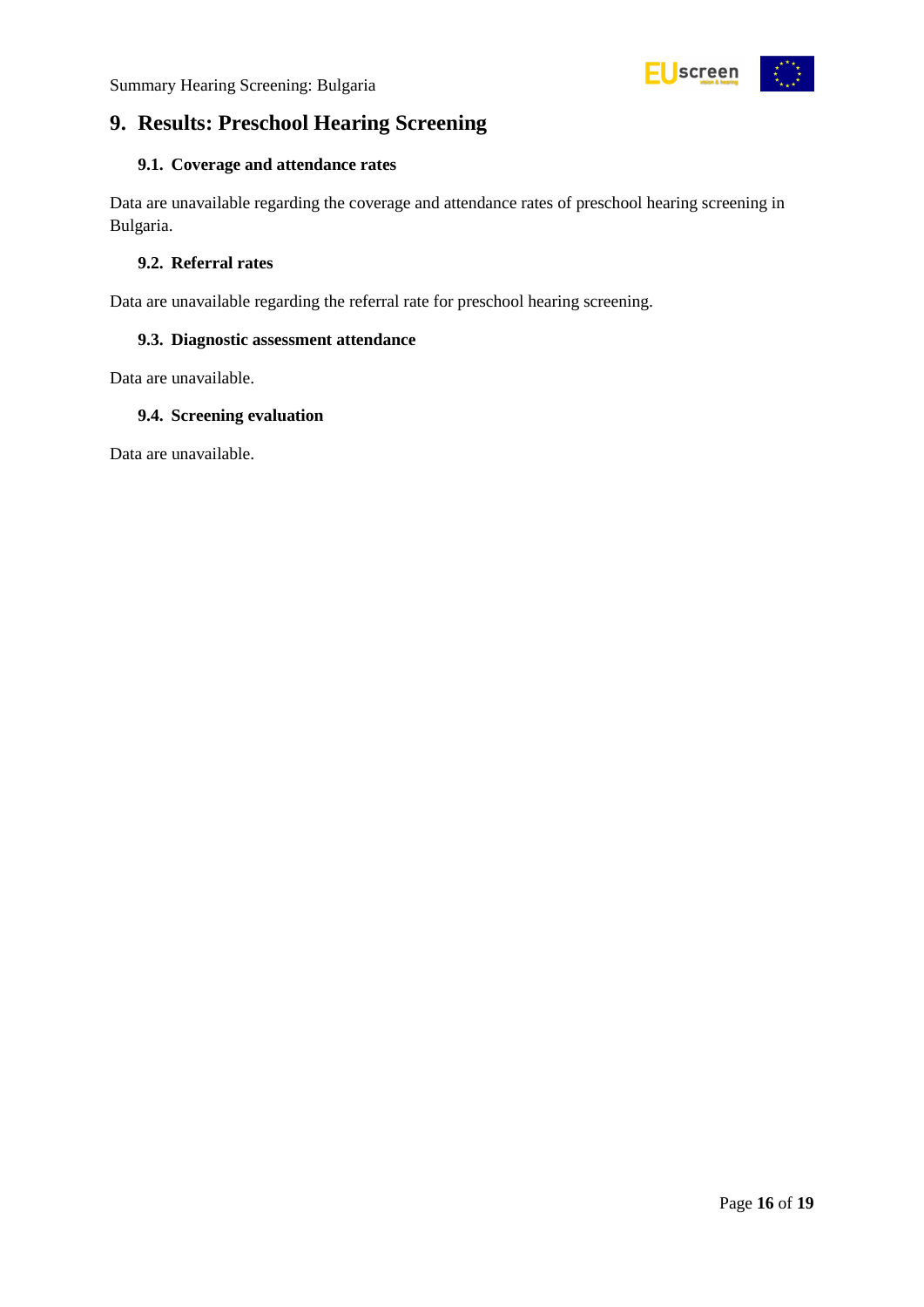

### <span id="page-15-0"></span>**9. Results: Preschool Hearing Screening**

#### <span id="page-15-1"></span>**9.1. Coverage and attendance rates**

Data are unavailable regarding the coverage and attendance rates of preschool hearing screening in Bulgaria.

#### <span id="page-15-2"></span>**9.2. Referral rates**

Data are unavailable regarding the referral rate for preschool hearing screening.

#### <span id="page-15-3"></span>**9.3. Diagnostic assessment attendance**

Data are unavailable.

#### <span id="page-15-4"></span>**9.4. Screening evaluation**

Data are unavailable.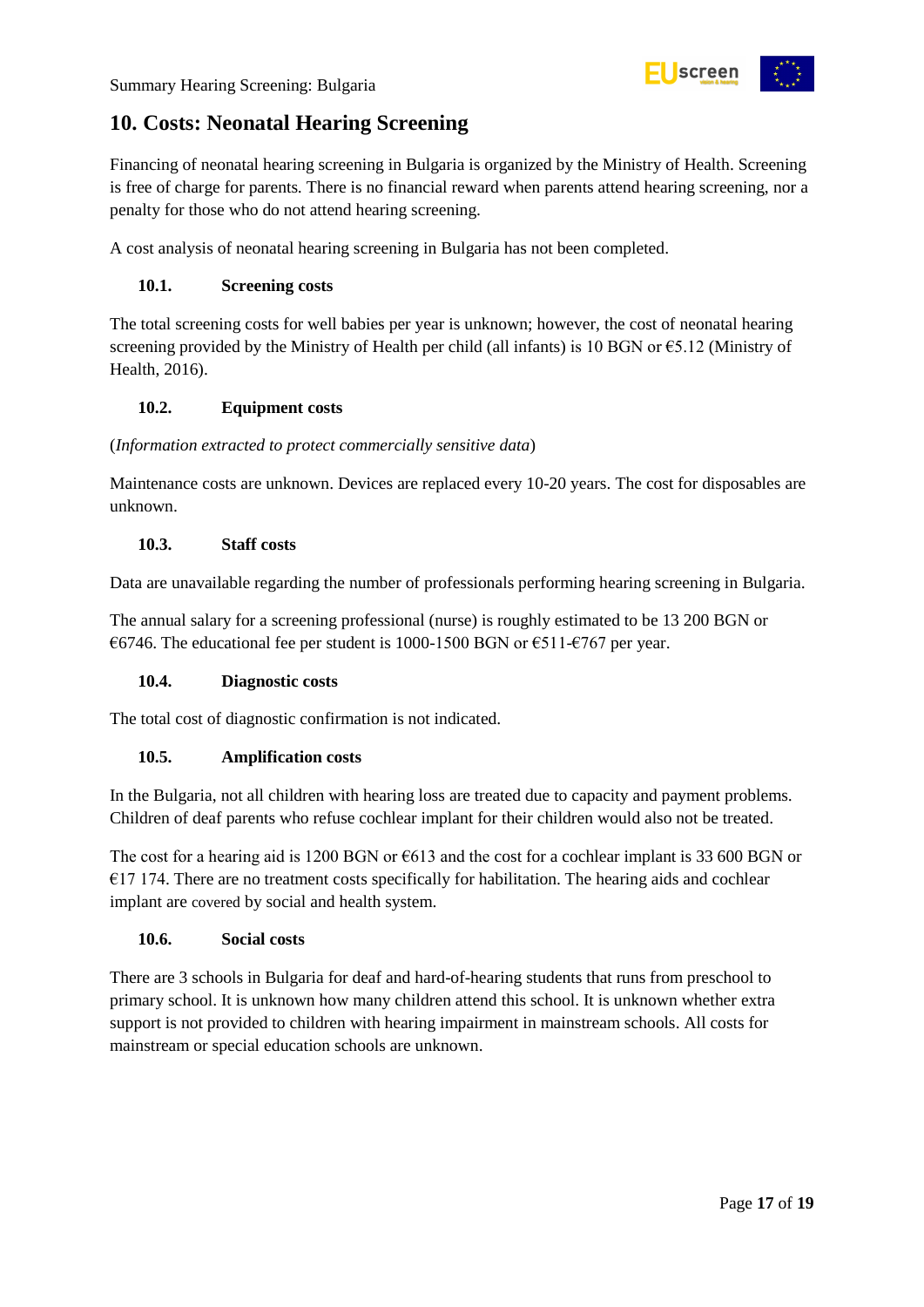

### <span id="page-16-0"></span>**10. Costs: Neonatal Hearing Screening**

Financing of neonatal hearing screening in Bulgaria is organized by the Ministry of Health. Screening is free of charge for parents. There is no financial reward when parents attend hearing screening, nor a penalty for those who do not attend hearing screening.

A cost analysis of neonatal hearing screening in Bulgaria has not been completed.

#### <span id="page-16-1"></span>**10.1. Screening costs**

The total screening costs for well babies per year is unknown; however, the cost of neonatal hearing screening provided by the Ministry of Health per child (all infants) is 10 BGN or €5.12 (Ministry of Health, 2016).

#### <span id="page-16-2"></span>**10.2. Equipment costs**

#### (*Information extracted to protect commercially sensitive data*)

Maintenance costs are unknown. Devices are replaced every 10-20 years. The cost for disposables are unknown.

#### <span id="page-16-3"></span>**10.3. Staff costs**

Data are unavailable regarding the number of professionals performing hearing screening in Bulgaria.

The annual salary for a screening professional (nurse) is roughly estimated to be 13 200 BGN or €6746. The educational fee per student is 1000-1500 BGN or €511-€767 per year.

#### <span id="page-16-4"></span>**10.4. Diagnostic costs**

The total cost of diagnostic confirmation is not indicated.

#### <span id="page-16-5"></span>**10.5. Amplification costs**

In the Bulgaria, not all children with hearing loss are treated due to capacity and payment problems. Children of deaf parents who refuse cochlear implant for their children would also not be treated.

The cost for a hearing aid is 1200 BGN or €613 and the cost for a cochlear implant is 33 600 BGN or  $E17$  174. There are no treatment costs specifically for habilitation. The hearing aids and cochlear implant are covered by social and health system.

#### <span id="page-16-6"></span>**10.6. Social costs**

There are 3 schools in Bulgaria for deaf and hard-of-hearing students that runs from preschool to primary school. It is unknown how many children attend this school. It is unknown whether extra support is not provided to children with hearing impairment in mainstream schools. All costs for mainstream or special education schools are unknown.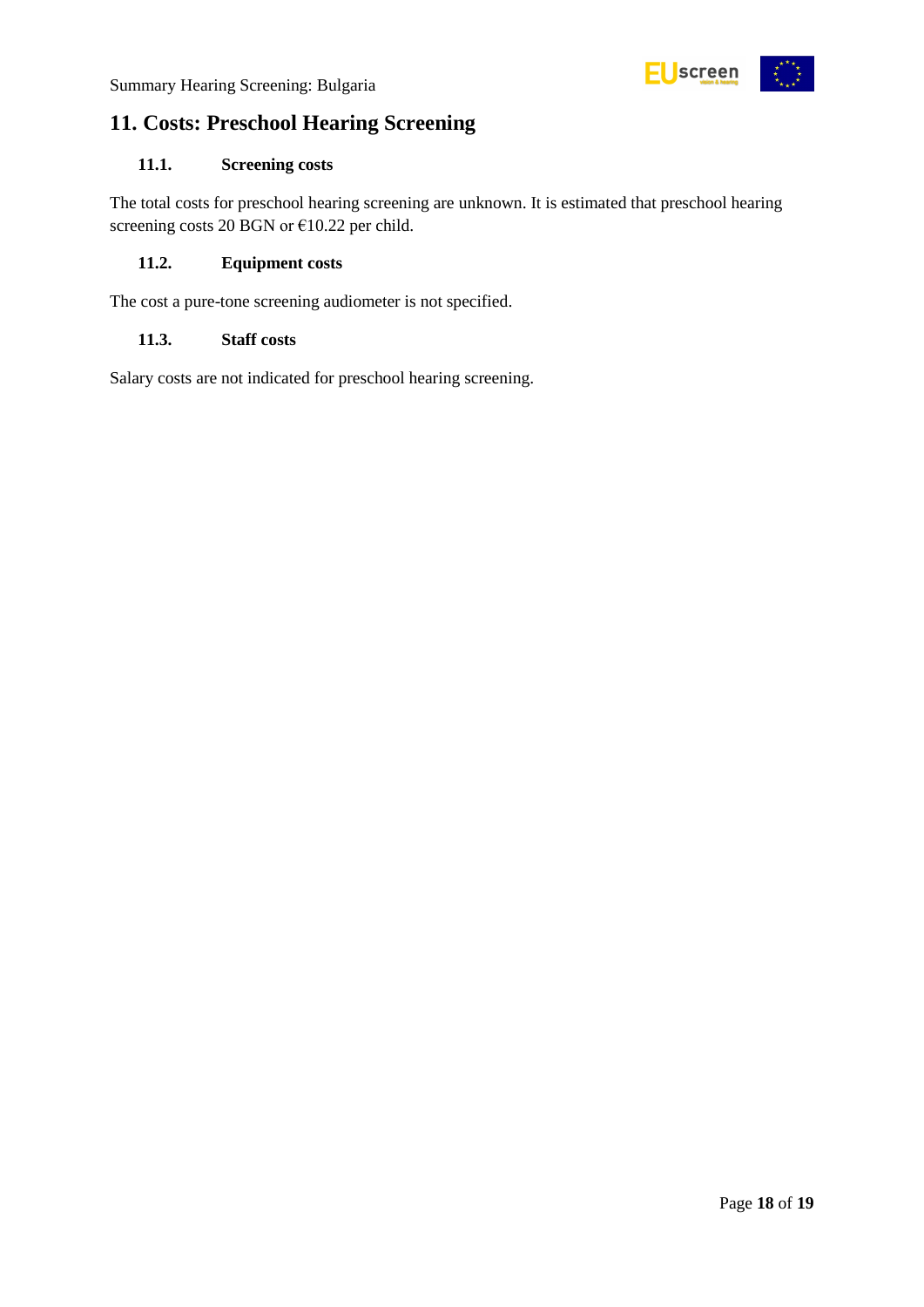

### <span id="page-17-0"></span>**11. Costs: Preschool Hearing Screening**

#### <span id="page-17-1"></span>**11.1. Screening costs**

The total costs for preschool hearing screening are unknown. It is estimated that preschool hearing screening costs 20 BGN or €10.22 per child.

#### <span id="page-17-2"></span>**11.2. Equipment costs**

The cost a pure-tone screening audiometer is not specified.

#### <span id="page-17-3"></span>**11.3. Staff costs**

Salary costs are not indicated for preschool hearing screening.